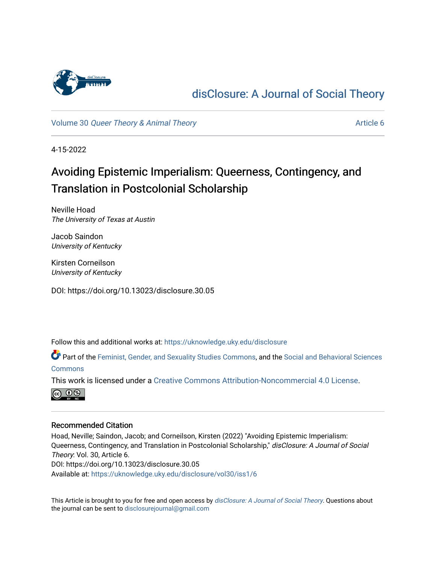

## [disClosure: A Journal of Social Theory](https://uknowledge.uky.edu/disclosure)

Volume 30 [Queer Theory & Animal Theory](https://uknowledge.uky.edu/disclosure/vol30) Article 6

4-15-2022

## Avoiding Epistemic Imperialism: Queerness, Contingency, and Translation in Postcolonial Scholarship

Neville Hoad The University of Texas at Austin

Jacob Saindon University of Kentucky

Kirsten Corneilson University of Kentucky

DOI: https://doi.org/10.13023/disclosure.30.05

Follow this and additional works at: [https://uknowledge.uky.edu/disclosure](https://uknowledge.uky.edu/disclosure?utm_source=uknowledge.uky.edu%2Fdisclosure%2Fvol30%2Fiss1%2F6&utm_medium=PDF&utm_campaign=PDFCoverPages)

Part of the [Feminist, Gender, and Sexuality Studies Commons](http://network.bepress.com/hgg/discipline/559?utm_source=uknowledge.uky.edu%2Fdisclosure%2Fvol30%2Fiss1%2F6&utm_medium=PDF&utm_campaign=PDFCoverPages), and the [Social and Behavioral Sciences](http://network.bepress.com/hgg/discipline/316?utm_source=uknowledge.uky.edu%2Fdisclosure%2Fvol30%2Fiss1%2F6&utm_medium=PDF&utm_campaign=PDFCoverPages)  [Commons](http://network.bepress.com/hgg/discipline/316?utm_source=uknowledge.uky.edu%2Fdisclosure%2Fvol30%2Fiss1%2F6&utm_medium=PDF&utm_campaign=PDFCoverPages)

This work is licensed under a [Creative Commons Attribution-Noncommercial 4.0 License](https://creativecommons.org/licenses/by-nc/4.0/).



## Recommended Citation

Hoad, Neville; Saindon, Jacob; and Corneilson, Kirsten (2022) "Avoiding Epistemic Imperialism: Queerness, Contingency, and Translation in Postcolonial Scholarship," disClosure: A Journal of Social Theory: Vol. 30, Article 6. DOI: https://doi.org/10.13023/disclosure.30.05 Available at: [https://uknowledge.uky.edu/disclosure/vol30/iss1/6](https://uknowledge.uky.edu/disclosure/vol30/iss1/6?utm_source=uknowledge.uky.edu%2Fdisclosure%2Fvol30%2Fiss1%2F6&utm_medium=PDF&utm_campaign=PDFCoverPages)

This Article is brought to you for free and open access by [disClosure: A Journal of Social Theory](https://uknowledge.uky.edu/disclosure). Questions about the journal can be sent to [disclosurejournal@gmail.com](mailto:disclosurejournal@gmail.com)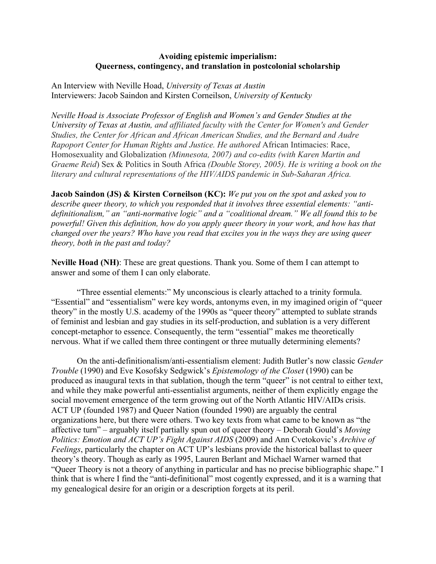## **Avoiding epistemic imperialism: Queerness, contingency, and translation in postcolonial scholarship**

An Interview with Neville Hoad, *University of Texas at Austin* Interviewers: Jacob Saindon and Kirsten Corneilson, *University of Kentucky*

*Neville Hoad is Associate Professor of English and Women's and Gender Studies at the University of Texas at Austin, and affiliated faculty with the Center for Women's and Gender Studies, the Center for African and African American Studies, and the Bernard and Audre Rapoport Center for Human Rights and Justice. He authored* African Intimacies: Race, Homosexuality and Globalization *(Minnesota, 2007) and co-edits (with Karen Martin and Graeme Reid*) Sex & Politics in South Africa *(Double Storey, 2005). He is writing a book on the literary and cultural representations of the HIV/AIDS pandemic in Sub-Saharan Africa.*

**Jacob Saindon (JS) & Kirsten Corneilson (KC):** *We put you on the spot and asked you to describe queer theory, to which you responded that it involves three essential elements: "antidefinitionalism," an "anti-normative logic" and a "coalitional dream." We all found this to be powerful! Given this definition, how do you apply queer theory in your work, and how has that changed over the years? Who have you read that excites you in the ways they are using queer theory, both in the past and today?*

**Neville Hoad (NH)**: These are great questions. Thank you. Some of them I can attempt to answer and some of them I can only elaborate.

"Three essential elements:" My unconscious is clearly attached to a trinity formula. "Essential" and "essentialism" were key words, antonyms even, in my imagined origin of "queer theory" in the mostly U.S. academy of the 1990s as "queer theory" attempted to sublate strands of feminist and lesbian and gay studies in its self-production, and sublation is a very different concept-metaphor to essence. Consequently, the term "essential" makes me theoretically nervous. What if we called them three contingent or three mutually determining elements?

On the anti-definitionalism/anti-essentialism element: Judith Butler's now classic *Gender Trouble* (1990) and Eve Kosofsky Sedgwick's *Epistemology of the Closet* (1990) can be produced as inaugural texts in that sublation, though the term "queer" is not central to either text, and while they make powerful anti-essentialist arguments, neither of them explicitly engage the social movement emergence of the term growing out of the North Atlantic HIV/AIDs crisis. ACT UP (founded 1987) and Queer Nation (founded 1990) are arguably the central organizations here, but there were others. Two key texts from what came to be known as "the affective turn" – arguably itself partially spun out of queer theory – Deborah Gould's *Moving Politics: Emotion and ACT UP's Fight Against AIDS* (2009) and Ann Cvetokovic's *Archive of Feelings*, particularly the chapter on ACT UP's lesbians provide the historical ballast to queer theory's theory. Though as early as 1995, Lauren Berlant and Michael Warner warned that "Queer Theory is not a theory of anything in particular and has no precise bibliographic shape." I think that is where I find the "anti-definitional" most cogently expressed, and it is a warning that my genealogical desire for an origin or a description forgets at its peril.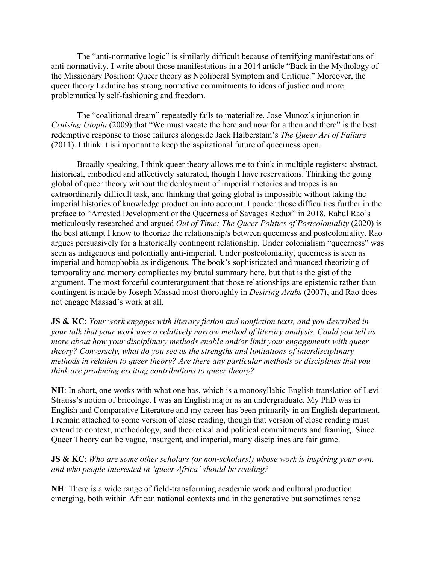The "anti-normative logic" is similarly difficult because of terrifying manifestations of anti-normativity. I write about those manifestations in a 2014 article "Back in the Mythology of the Missionary Position: Queer theory as Neoliberal Symptom and Critique." Moreover, the queer theory I admire has strong normative commitments to ideas of justice and more problematically self-fashioning and freedom.

The "coalitional dream" repeatedly fails to materialize. Jose Munoz's injunction in *Cruising Utopia* (2009) that "We must vacate the here and now for a then and there" is the best redemptive response to those failures alongside Jack Halberstam's *The Queer Art of Failure*  (2011). I think it is important to keep the aspirational future of queerness open.

Broadly speaking, I think queer theory allows me to think in multiple registers: abstract, historical, embodied and affectively saturated, though I have reservations. Thinking the going global of queer theory without the deployment of imperial rhetorics and tropes is an extraordinarily difficult task, and thinking that going global is impossible without taking the imperial histories of knowledge production into account. I ponder those difficulties further in the preface to "Arrested Development or the Queerness of Savages Redux" in 2018. Rahul Rao's meticulously researched and argued *Out of Time: The Queer Politics of Postcoloniality* (2020) is the best attempt I know to theorize the relationship/s between queerness and postcoloniality. Rao argues persuasively for a historically contingent relationship. Under colonialism "queerness" was seen as indigenous and potentially anti-imperial. Under postcoloniality, queerness is seen as imperial and homophobia as indigenous. The book's sophisticated and nuanced theorizing of temporality and memory complicates my brutal summary here, but that is the gist of the argument. The most forceful counterargument that those relationships are epistemic rather than contingent is made by Joseph Massad most thoroughly in *Desiring Arabs* (2007), and Rao does not engage Massad's work at all.

**JS & KC**: *Your work engages with literary fiction and nonfiction texts, and you described in your talk that your work uses a relatively narrow method of literary analysis. Could you tell us more about how your disciplinary methods enable and/or limit your engagements with queer theory? Conversely, what do you see as the strengths and limitations of interdisciplinary methods in relation to queer theory? Are there any particular methods or disciplines that you think are producing exciting contributions to queer theory?*

**NH**: In short, one works with what one has, which is a monosyllabic English translation of Levi-Strauss's notion of bricolage. I was an English major as an undergraduate. My PhD was in English and Comparative Literature and my career has been primarily in an English department. I remain attached to some version of close reading, though that version of close reading must extend to context, methodology, and theoretical and political commitments and framing. Since Queer Theory can be vague, insurgent, and imperial, many disciplines are fair game.

**JS & KC**: *Who are some other scholars (or non-scholars!) whose work is inspiring your own, and who people interested in 'queer Africa' should be reading?*

**NH**: There is a wide range of field-transforming academic work and cultural production emerging, both within African national contexts and in the generative but sometimes tense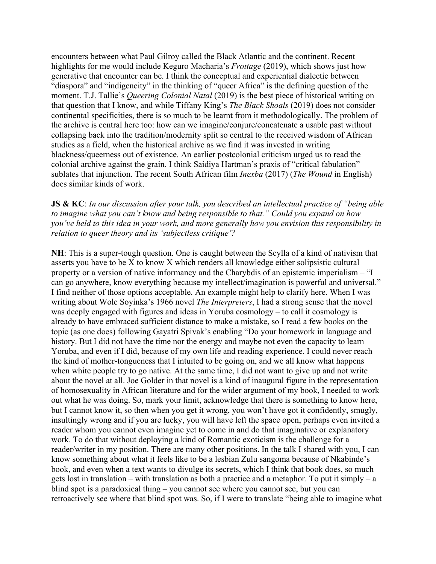encounters between what Paul Gilroy called the Black Atlantic and the continent. Recent highlights for me would include Keguro Macharia's *Frottage* (2019), which shows just how generative that encounter can be. I think the conceptual and experiential dialectic between "diaspora" and "indigeneity" in the thinking of "queer Africa" is the defining question of the moment. T.J. Tallie's *Queering Colonial Natal* (2019) is the best piece of historical writing on that question that I know, and while Tiffany King's *The Black Shoals* (2019) does not consider continental specificities, there is so much to be learnt from it methodologically. The problem of the archive is central here too: how can we imagine/conjure/concatenate a usable past without collapsing back into the tradition/modernity split so central to the received wisdom of African studies as a field, when the historical archive as we find it was invested in writing blackness/queerness out of existence. An earlier postcolonial criticism urged us to read the colonial archive against the grain. I think Saidiya Hartman's praxis of "critical fabulation" sublates that injunction. The recent South African film *Inexba* (2017) (*The Wound* in English) does similar kinds of work.

**JS & KC**: *In our discussion after your talk, you described an intellectual practice of "being able to imagine what you can't know and being responsible to that." Could you expand on how you've held to this idea in your work, and more generally how you envision this responsibility in relation to queer theory and its 'subjectless critique'?*

**NH**: This is a super-tough question. One is caught between the Scylla of a kind of nativism that asserts you have to be X to know X which renders all knowledge either solipsistic cultural property or a version of native informancy and the Charybdis of an epistemic imperialism – "I can go anywhere, know everything because my intellect/imagination is powerful and universal." I find neither of those options acceptable. An example might help to clarify here. When I was writing about Wole Soyinka's 1966 novel *The Interpreters*, I had a strong sense that the novel was deeply engaged with figures and ideas in Yoruba cosmology – to call it cosmology is already to have embraced sufficient distance to make a mistake, so I read a few books on the topic (as one does) following Gayatri Spivak's enabling "Do your homework in language and history. But I did not have the time nor the energy and maybe not even the capacity to learn Yoruba, and even if I did, because of my own life and reading experience. I could never reach the kind of mother-tongueness that I intuited to be going on, and we all know what happens when white people try to go native. At the same time, I did not want to give up and not write about the novel at all. Joe Golder in that novel is a kind of inaugural figure in the representation of homosexuality in African literature and for the wider argument of my book, I needed to work out what he was doing. So, mark your limit, acknowledge that there is something to know here, but I cannot know it, so then when you get it wrong, you won't have got it confidently, smugly, insultingly wrong and if you are lucky, you will have left the space open, perhaps even invited a reader whom you cannot even imagine yet to come in and do that imaginative or explanatory work. To do that without deploying a kind of Romantic exoticism is the challenge for a reader/writer in my position. There are many other positions. In the talk I shared with you, I can know something about what it feels like to be a lesbian Zulu sangoma because of Nkabinde's book, and even when a text wants to divulge its secrets, which I think that book does, so much gets lost in translation – with translation as both a practice and a metaphor. To put it simply – a blind spot is a paradoxical thing – you cannot see where you cannot see, but you can retroactively see where that blind spot was. So, if I were to translate "being able to imagine what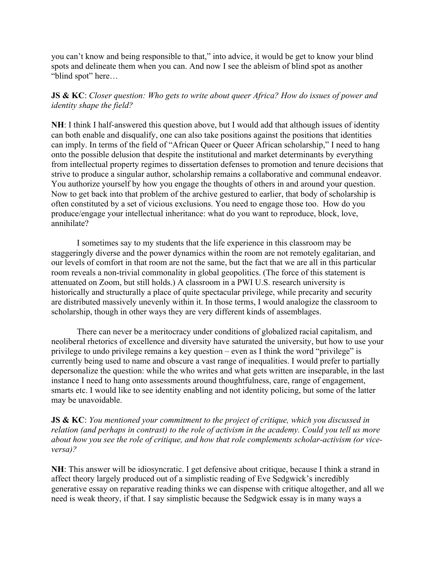you can't know and being responsible to that," into advice, it would be get to know your blind spots and delineate them when you can. And now I see the ableism of blind spot as another "blind spot" here…

**JS & KC**: *Closer question: Who gets to write about queer Africa? How do issues of power and identity shape the field?*

**NH**: I think I half-answered this question above, but I would add that although issues of identity can both enable and disqualify, one can also take positions against the positions that identities can imply. In terms of the field of "African Queer or Queer African scholarship," I need to hang onto the possible delusion that despite the institutional and market determinants by everything from intellectual property regimes to dissertation defenses to promotion and tenure decisions that strive to produce a singular author, scholarship remains a collaborative and communal endeavor. You authorize yourself by how you engage the thoughts of others in and around your question. Now to get back into that problem of the archive gestured to earlier, that body of scholarship is often constituted by a set of vicious exclusions. You need to engage those too. How do you produce/engage your intellectual inheritance: what do you want to reproduce, block, love, annihilate?

I sometimes say to my students that the life experience in this classroom may be staggeringly diverse and the power dynamics within the room are not remotely egalitarian, and our levels of comfort in that room are not the same, but the fact that we are all in this particular room reveals a non-trivial commonality in global geopolitics. (The force of this statement is attenuated on Zoom, but still holds.) A classroom in a PWI U.S. research university is historically and structurally a place of quite spectacular privilege, while precarity and security are distributed massively unevenly within it. In those terms, I would analogize the classroom to scholarship, though in other ways they are very different kinds of assemblages.

There can never be a meritocracy under conditions of globalized racial capitalism, and neoliberal rhetorics of excellence and diversity have saturated the university, but how to use your privilege to undo privilege remains a key question – even as I think the word "privilege" is currently being used to name and obscure a vast range of inequalities. I would prefer to partially depersonalize the question: while the who writes and what gets written are inseparable, in the last instance I need to hang onto assessments around thoughtfulness, care, range of engagement, smarts etc. I would like to see identity enabling and not identity policing, but some of the latter may be unavoidable.

**JS & KC**: *You mentioned your commitment to the project of critique, which you discussed in relation (and perhaps in contrast) to the role of activism in the academy. Could you tell us more about how you see the role of critique, and how that role complements scholar-activism (or viceversa)?*

**NH**: This answer will be idiosyncratic. I get defensive about critique, because I think a strand in affect theory largely produced out of a simplistic reading of Eve Sedgwick's incredibly generative essay on reparative reading thinks we can dispense with critique altogether, and all we need is weak theory, if that. I say simplistic because the Sedgwick essay is in many ways a